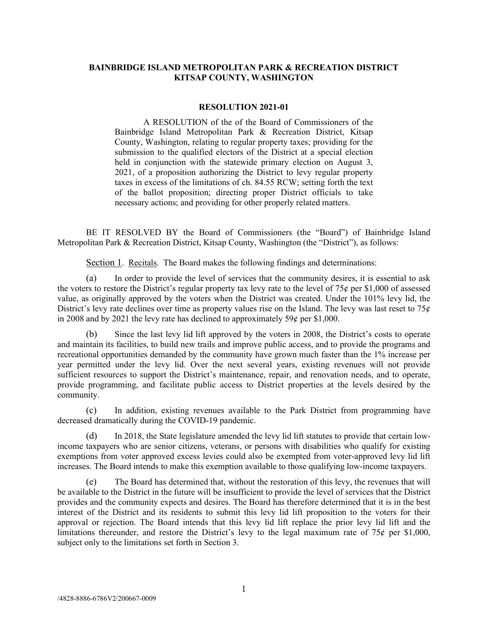# **BAINBRIDGE ISLAND METROPOLITAN PARK & RECREATION DISTRICT KITSAP COUNTY, WASHINGTON**

#### **RESOLUTION 2021-01**

A RESOLUTION of the of the Board of Commissioners of the Bainbridge Island Metropolitan Park & Recreation District, Kitsap County, Washington, relating to regular property taxes; providing for the submission to the qualified electors of the District at a special election held in conjunction with the statewide primary election on August 3, 2021, of a proposition authorizing the District to levy regular property taxes in excess of the limitations of ch. 84.55 RCW; setting forth the text of the ballot proposition; directing proper District officials to take necessary actions; and providing for other properly related matters.

BE IT RESOLVED BY the Board of Commissioners (the "Board") of Bainbridge Island Metropolitan Park & Recreation District, Kitsap County, Washington (the "District"), as follows:

Section 1. Recitals. The Board makes the following findings and determinations:

(a) In order to provide the level of services that the community desires, it is essential to ask the voters to restore the District's regular property tax levy rate to the level of  $75¢$  per \$1,000 of assessed value, as originally approved by the voters when the District was created. Under the 101% levy lid, the District's levy rate declines over time as property values rise on the Island. The levy was last reset to  $75¢$ in 2008 and by 2021 the levy rate has declined to approximately 59 $\ell$  per \$1,000.

(b) Since the last levy lid lift approved by the voters in 2008, the District's costs to operate and maintain its facilities, to build new trails and improve public access, and to provide the programs and recreational opportunities demanded by the community have grown much faster than the 1% increase per year permitted under the levy lid. Over the next several years, existing revenues will not provide sufficient resources to support the District's maintenance, repair, and renovation needs, and to operate, provide programming, and facilitate public access to District properties at the levels desired by the community.

(c) In addition, existing revenues available to the Park District from programming have decreased dramatically during the COVID-19 pandemic.

(d) In 2018, the State legislature amended the levy lid lift statutes to provide that certain lowincome taxpayers who are senior citizens, veterans, or persons with disabilities who qualify for existing exemptions from voter approved excess levies could also be exempted from voter-approved levy lid lift increases. The Board intends to make this exemption available to those qualifying low-income taxpayers.

(e) The Board has determined that, without the restoration of this levy, the revenues that will be available to the District in the future will be insufficient to provide the level of services that the District provides and the community expects and desires. The Board has therefore determined that it is in the best interest of the District and its residents to submit this levy lid lift proposition to the voters for their approval or rejection. The Board intends that this levy lid lift replace the prior levy lid lift and the limitations thereunder, and restore the District's levy to the legal maximum rate of  $75¢$  per \$1,000, subject only to the limitations set forth in Section 3.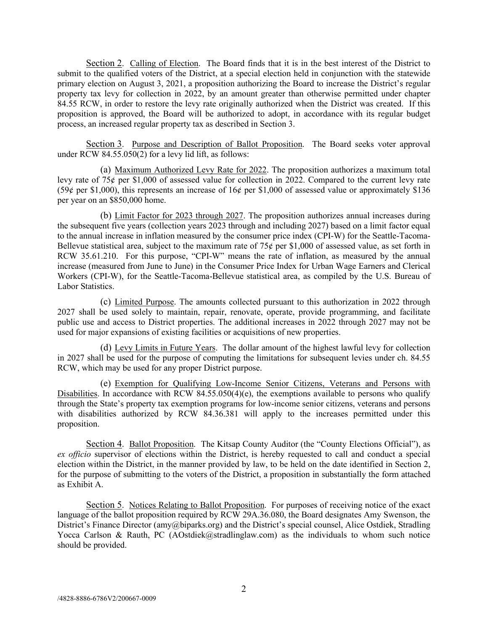Section 2. Calling of Election. The Board finds that it is in the best interest of the District to submit to the qualified voters of the District, at a special election held in conjunction with the statewide primary election on August 3, 2021, a proposition authorizing the Board to increase the District's regular property tax levy for collection in 2022, by an amount greater than otherwise permitted under chapter 84.55 RCW, in order to restore the levy rate originally authorized when the District was created. If this proposition is approved, the Board will be authorized to adopt, in accordance with its regular budget process, an increased regular property tax as described in Section 3.

Section 3. Purpose and Description of Ballot Proposition. The Board seeks voter approval under RCW 84.55.050(2) for a levy lid lift, as follows:

(a) Maximum Authorized Levy Rate for 2022. The proposition authorizes a maximum total levy rate of 75¢ per \$1,000 of assessed value for collection in 2022. Compared to the current levy rate (59¢ per \$1,000), this represents an increase of 16¢ per \$1,000 of assessed value or approximately \$136 per year on an \$850,000 home.

(b) Limit Factor for 2023 through 2027. The proposition authorizes annual increases during the subsequent five years (collection years 2023 through and including 2027) based on a limit factor equal to the annual increase in inflation measured by the consumer price index (CPI-W) for the Seattle-Tacoma-Bellevue statistical area, subject to the maximum rate of  $75¢$  per \$1,000 of assessed value, as set forth in RCW 35.61.210. For this purpose, "CPI-W" means the rate of inflation, as measured by the annual increase (measured from June to June) in the Consumer Price Index for Urban Wage Earners and Clerical Workers (CPI-W), for the Seattle-Tacoma-Bellevue statistical area, as compiled by the U.S. Bureau of Labor Statistics.

(c) Limited Purpose. The amounts collected pursuant to this authorization in 2022 through 2027 shall be used solely to maintain, repair, renovate, operate, provide programming, and facilitate public use and access to District properties. The additional increases in 2022 through 2027 may not be used for major expansions of existing facilities or acquisitions of new properties.

(d) Levy Limits in Future Years. The dollar amount of the highest lawful levy for collection in 2027 shall be used for the purpose of computing the limitations for subsequent levies under ch. 84.55 RCW, which may be used for any proper District purpose.

(e) Exemption for Qualifying Low-Income Senior Citizens, Veterans and Persons with Disabilities. In accordance with RCW 84.55.050(4)(e), the exemptions available to persons who qualify through the State's property tax exemption programs for low-income senior citizens, veterans and persons with disabilities authorized by RCW 84.36.381 will apply to the increases permitted under this proposition.

Section 4. Ballot Proposition. The Kitsap County Auditor (the "County Elections Official"), as *ex officio* supervisor of elections within the District, is hereby requested to call and conduct a special election within the District, in the manner provided by law, to be held on the date identified in Section 2, for the purpose of submitting to the voters of the District, a proposition in substantially the form attached as Exhibit A.

Section 5. Notices Relating to Ballot Proposition. For purposes of receiving notice of the exact language of the ballot proposition required by RCW 29A.36.080, the Board designates Amy Swenson, the District's Finance Director (amy@biparks.org) and the District's special counsel, Alice Ostdiek, Stradling Yocca Carlson & Rauth, PC (AOstdiek@stradlinglaw.com) as the individuals to whom such notice should be provided.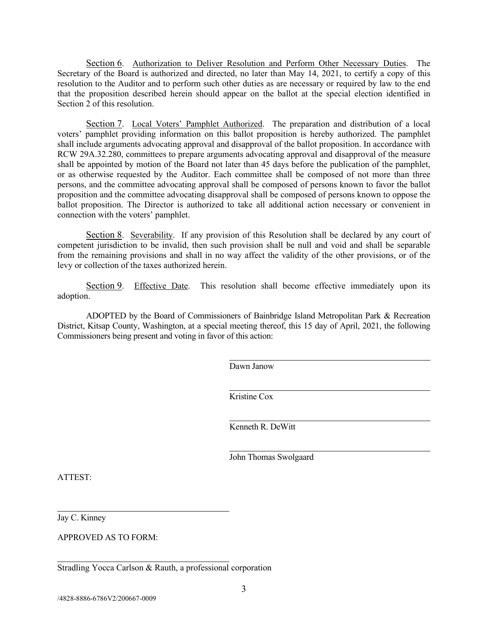Section 6. Authorization to Deliver Resolution and Perform Other Necessary Duties. The Secretary of the Board is authorized and directed, no later than May 14, 2021, to certify a copy of this resolution to the Auditor and to perform such other duties as are necessary or required by law to the end that the proposition described herein should appear on the ballot at the special election identified in Section 2 of this resolution.

Section 7. Local Voters' Pamphlet Authorized. The preparation and distribution of a local voters' pamphlet providing information on this ballot proposition is hereby authorized. The pamphlet shall include arguments advocating approval and disapproval of the ballot proposition. In accordance with RCW 29A.32.280, committees to prepare arguments advocating approval and disapproval of the measure shall be appointed by motion of the Board not later than 45 days before the publication of the pamphlet, or as otherwise requested by the Auditor. Each committee shall be composed of not more than three persons, and the committee advocating approval shall be composed of persons known to favor the ballot proposition and the committee advocating disapproval shall be composed of persons known to oppose the ballot proposition. The Director is authorized to take all additional action necessary or convenient in connection with the voters' pamphlet.

Section 8. Severability. If any provision of this Resolution shall be declared by any court of competent jurisdiction to be invalid, then such provision shall be null and void and shall be separable from the remaining provisions and shall in no way affect the validity of the other provisions, or of the levy or collection of the taxes authorized herein.

Section 9. Effective Date. This resolution shall become effective immediately upon its adoption.

ADOPTED by the Board of Commissioners of Bainbridge Island Metropolitan Park & Recreation District, Kitsap County, Washington, at a special meeting thereof, this 15 day of April, 2021, the following Commissioners being present and voting in favor of this action:

Dawn Janow

Kristine Cox

Kenneth R. DeWitt

John Thomas Swolgaard

ATTEST:

Jay C. Kinney

APPROVED AS TO FORM:

Stradling Yocca Carlson & Rauth, a professional corporation